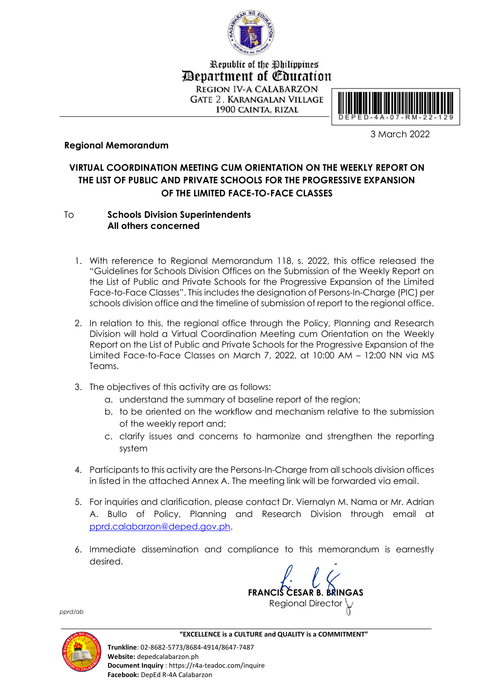

Republic of the Philippines *Department of Education* **REGION IV-A CALABARZON GATE 2. KARANGALAN VILLAGE** 

1900 CAINTA, RIZAL



3 March 2022

## **Regional Memorandum**

## **VIRTUAL COORDINATION MEETING CUM ORIENTATION ON THE WEEKLY REPORT ON THE LIST OF PUBLIC AND PRIVATE SCHOOLS FOR THE PROGRESSIVE EXPANSION OF THE LIMITED FACE-TO-FACE CLASSES**

## To **Schools Division Superintendents All others concerned**

- 1. With reference to Regional Memorandum 118, s. 2022, this office released the "Guidelines for Schools Division Offices on the Submission of the Weekly Report on the List of Public and Private Schools for the Progressive Expansion of the Limited Face-to-Face Classes". This includes the designation of Persons-In-Charge (PIC) per schools division office and the timeline of submission of report to the regional office.
- 2. In relation to this, the regional office through the Policy, Planning and Research Division will hold a Virtual Coordination Meeting cum Orientation on the Weekly Report on the List of Public and Private Schools for the Progressive Expansion of the Limited Face-to-Face Classes on March 7, 2022, at 10:00 AM – 12:00 NN via MS Teams.
- 3. The objectives of this activity are as follows:
	- a. understand the summary of baseline report of the region;
	- b. to be oriented on the workflow and mechanism relative to the submission of the weekly report and;
	- c. clarify issues and concerns to harmonize and strengthen the reporting system
- 4. Participants to this activity are the Persons-In-Charge from all schools division offices in listed in the attached Annex A. The meeting link will be forwarded via email.
- 5. For inquiries and clarification, please contact Dr. Viernalyn M. Nama or Mr. Adrian A. Bullo of Policy, Planning and Research Division through email at [pprd.calabarzon@deped.gov.ph.](mailto:pprd.calabarzon@deped.gov.ph)
- 6. Immediate dissemination and compliance to this memorandum is earnestly desired.

**FRANCIS CESAR B. BRINGAS** Regional Director

*pprd/ab*



 **"EXCELLENCE is a CULTURE and QUALITY is a COMMITMENT"**